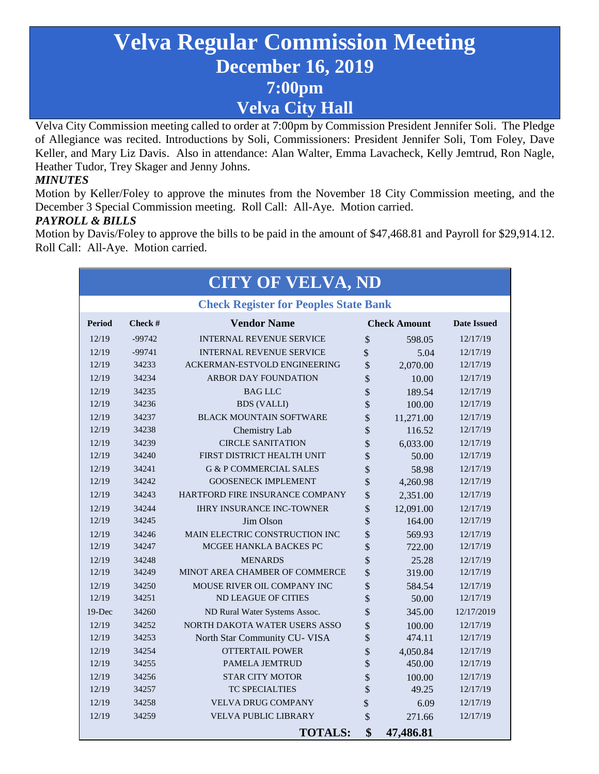# **Velva Regular Commission Meeting December 16, 2019 7:00pm Velva City Hall**

Velva City Commission meeting called to order at 7:00pm by Commission President Jennifer Soli. The Pledge of Allegiance was recited. Introductions by Soli, Commissioners: President Jennifer Soli, Tom Foley, Dave Keller, and Mary Liz Davis. Also in attendance: Alan Walter, Emma Lavacheck, Kelly Jemtrud, Ron Nagle, Heather Tudor, Trey Skager and Jenny Johns.

#### *MINUTES*

Motion by Keller/Foley to approve the minutes from the November 18 City Commission meeting, and the December 3 Special Commission meeting. Roll Call: All-Aye. Motion carried.

#### *PAYROLL & BILLS*

Motion by Davis/Foley to approve the bills to be paid in the amount of \$47,468.81 and Payroll for \$29,914.12. Roll Call: All-Aye. Motion carried.

| <b>CITY OF VELVA, ND</b>                     |          |                                   |         |                     |                    |
|----------------------------------------------|----------|-----------------------------------|---------|---------------------|--------------------|
| <b>Check Register for Peoples State Bank</b> |          |                                   |         |                     |                    |
| <b>Period</b>                                | Check #  | <b>Vendor Name</b>                |         | <b>Check Amount</b> | <b>Date Issued</b> |
| 12/19                                        | $-99742$ | <b>INTERNAL REVENUE SERVICE</b>   | $\sqrt$ | 598.05              | 12/17/19           |
| 12/19                                        | $-99741$ | <b>INTERNAL REVENUE SERVICE</b>   | \$      | 5.04                | 12/17/19           |
| 12/19                                        | 34233    | ACKERMAN-ESTVOLD ENGINEERING      | \$      | 2,070.00            | 12/17/19           |
| 12/19                                        | 34234    | ARBOR DAY FOUNDATION              | \$      | 10.00               | 12/17/19           |
| 12/19                                        | 34235    | <b>BAG LLC</b>                    | \$      | 189.54              | 12/17/19           |
| 12/19                                        | 34236    | <b>BDS</b> (VALLI)                | \$      | 100.00              | 12/17/19           |
| 12/19                                        | 34237    | <b>BLACK MOUNTAIN SOFTWARE</b>    | \$      | 11,271.00           | 12/17/19           |
| 12/19                                        | 34238    | Chemistry Lab                     | \$      | 116.52              | 12/17/19           |
| 12/19                                        | 34239    | <b>CIRCLE SANITATION</b>          | \$      | 6,033.00            | 12/17/19           |
| 12/19                                        | 34240    | FIRST DISTRICT HEALTH UNIT        | \$      | 50.00               | 12/17/19           |
| 12/19                                        | 34241    | <b>G &amp; P COMMERCIAL SALES</b> | \$      | 58.98               | 12/17/19           |
| 12/19                                        | 34242    | <b>GOOSENECK IMPLEMENT</b>        | \$      | 4,260.98            | 12/17/19           |
| 12/19                                        | 34243    | HARTFORD FIRE INSURANCE COMPANY   | \$      | 2,351.00            | 12/17/19           |
| 12/19                                        | 34244    | <b>IHRY INSURANCE INC-TOWNER</b>  | \$      | 12,091.00           | 12/17/19           |
| 12/19                                        | 34245    | Jim Olson                         | \$      | 164.00              | 12/17/19           |
| 12/19                                        | 34246    | MAIN ELECTRIC CONSTRUCTION INC    | \$      | 569.93              | 12/17/19           |
| 12/19                                        | 34247    | MCGEE HANKLA BACKES PC            | \$      | 722.00              | 12/17/19           |
| 12/19                                        | 34248    | <b>MENARDS</b>                    | \$      | 25.28               | 12/17/19           |
| 12/19                                        | 34249    | MINOT AREA CHAMBER OF COMMERCE    | \$      | 319.00              | 12/17/19           |
| 12/19                                        | 34250    | MOUSE RIVER OIL COMPANY INC       | \$      | 584.54              | 12/17/19           |
| 12/19                                        | 34251    | <b>ND LEAGUE OF CITIES</b>        | \$      | 50.00               | 12/17/19           |
| 19-Dec                                       | 34260    | ND Rural Water Systems Assoc.     | \$      | 345.00              | 12/17/2019         |
| 12/19                                        | 34252    | NORTH DAKOTA WATER USERS ASSO     | \$      | 100.00              | 12/17/19           |
| 12/19                                        | 34253    | North Star Community CU- VISA     | \$      | 474.11              | 12/17/19           |
| 12/19                                        | 34254    | <b>OTTERTAIL POWER</b>            | \$      | 4,050.84            | 12/17/19           |
| 12/19                                        | 34255    | <b>PAMELA JEMTRUD</b>             | \$      | 450.00              | 12/17/19           |
| 12/19                                        | 34256    | <b>STAR CITY MOTOR</b>            | \$      | 100.00              | 12/17/19           |
| 12/19                                        | 34257    | <b>TC SPECIALTIES</b>             | \$      | 49.25               | 12/17/19           |
| 12/19                                        | 34258    | <b>VELVA DRUG COMPANY</b>         | \$      | 6.09                | 12/17/19           |
| 12/19                                        | 34259    | <b>VELVA PUBLIC LIBRARY</b>       | \$      | 271.66              | 12/17/19           |
|                                              |          | <b>TOTALS:</b>                    | \$      | 47,486.81           |                    |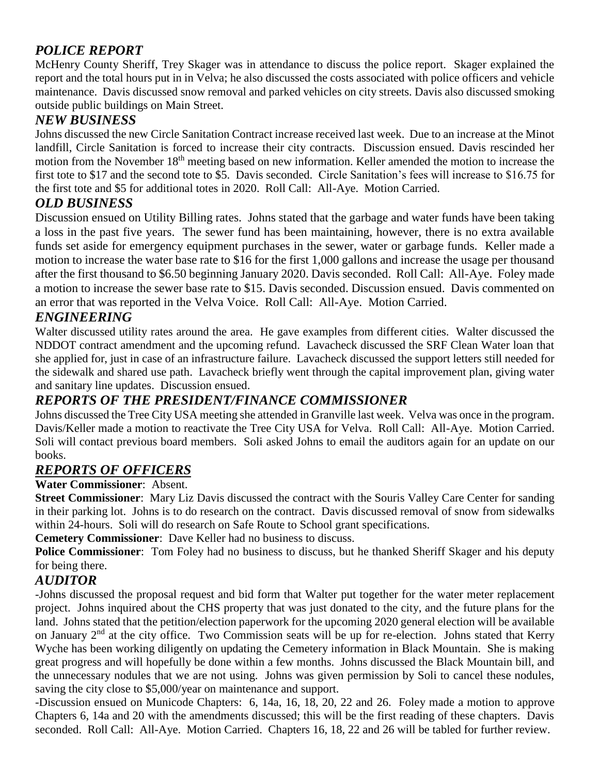## *POLICE REPORT*

McHenry County Sheriff, Trey Skager was in attendance to discuss the police report. Skager explained the report and the total hours put in in Velva; he also discussed the costs associated with police officers and vehicle maintenance. Davis discussed snow removal and parked vehicles on city streets. Davis also discussed smoking outside public buildings on Main Street.

## *NEW BUSINESS*

Johns discussed the new Circle Sanitation Contract increase received last week. Due to an increase at the Minot landfill, Circle Sanitation is forced to increase their city contracts. Discussion ensued. Davis rescinded her motion from the November 18<sup>th</sup> meeting based on new information. Keller amended the motion to increase the first tote to \$17 and the second tote to \$5. Davis seconded. Circle Sanitation's fees will increase to \$16.75 for the first tote and \$5 for additional totes in 2020. Roll Call: All-Aye. Motion Carried.

## *OLD BUSINESS*

Discussion ensued on Utility Billing rates. Johns stated that the garbage and water funds have been taking a loss in the past five years. The sewer fund has been maintaining, however, there is no extra available funds set aside for emergency equipment purchases in the sewer, water or garbage funds. Keller made a motion to increase the water base rate to \$16 for the first 1,000 gallons and increase the usage per thousand after the first thousand to \$6.50 beginning January 2020. Davis seconded. Roll Call: All-Aye. Foley made a motion to increase the sewer base rate to \$15. Davis seconded. Discussion ensued. Davis commented on an error that was reported in the Velva Voice. Roll Call: All-Aye. Motion Carried.

## *ENGINEERING*

Walter discussed utility rates around the area. He gave examples from different cities. Walter discussed the NDDOT contract amendment and the upcoming refund. Lavacheck discussed the SRF Clean Water loan that she applied for, just in case of an infrastructure failure. Lavacheck discussed the support letters still needed for the sidewalk and shared use path. Lavacheck briefly went through the capital improvement plan, giving water and sanitary line updates. Discussion ensued.

## *REPORTS OF THE PRESIDENT/FINANCE COMMISSIONER*

Johns discussed the Tree City USA meeting she attended in Granville last week. Velva was once in the program. Davis/Keller made a motion to reactivate the Tree City USA for Velva. Roll Call: All-Aye. Motion Carried. Soli will contact previous board members. Soli asked Johns to email the auditors again for an update on our books.

## *REPORTS OF OFFICERS*

#### **Water Commissioner**: Absent.

**Street Commissioner**: Mary Liz Davis discussed the contract with the Souris Valley Care Center for sanding in their parking lot. Johns is to do research on the contract. Davis discussed removal of snow from sidewalks within 24-hours. Soli will do research on Safe Route to School grant specifications.

**Cemetery Commissioner**: Dave Keller had no business to discuss.

**Police Commissioner**: Tom Foley had no business to discuss, but he thanked Sheriff Skager and his deputy for being there.

## *AUDITOR*

-Johns discussed the proposal request and bid form that Walter put together for the water meter replacement project. Johns inquired about the CHS property that was just donated to the city, and the future plans for the land. Johns stated that the petition/election paperwork for the upcoming 2020 general election will be available on January 2nd at the city office. Two Commission seats will be up for re-election. Johns stated that Kerry Wyche has been working diligently on updating the Cemetery information in Black Mountain. She is making great progress and will hopefully be done within a few months. Johns discussed the Black Mountain bill, and the unnecessary nodules that we are not using. Johns was given permission by Soli to cancel these nodules, saving the city close to \$5,000/year on maintenance and support.

-Discussion ensued on Municode Chapters: 6, 14a, 16, 18, 20, 22 and 26. Foley made a motion to approve Chapters 6, 14a and 20 with the amendments discussed; this will be the first reading of these chapters. Davis seconded. Roll Call: All-Aye. Motion Carried. Chapters 16, 18, 22 and 26 will be tabled for further review.